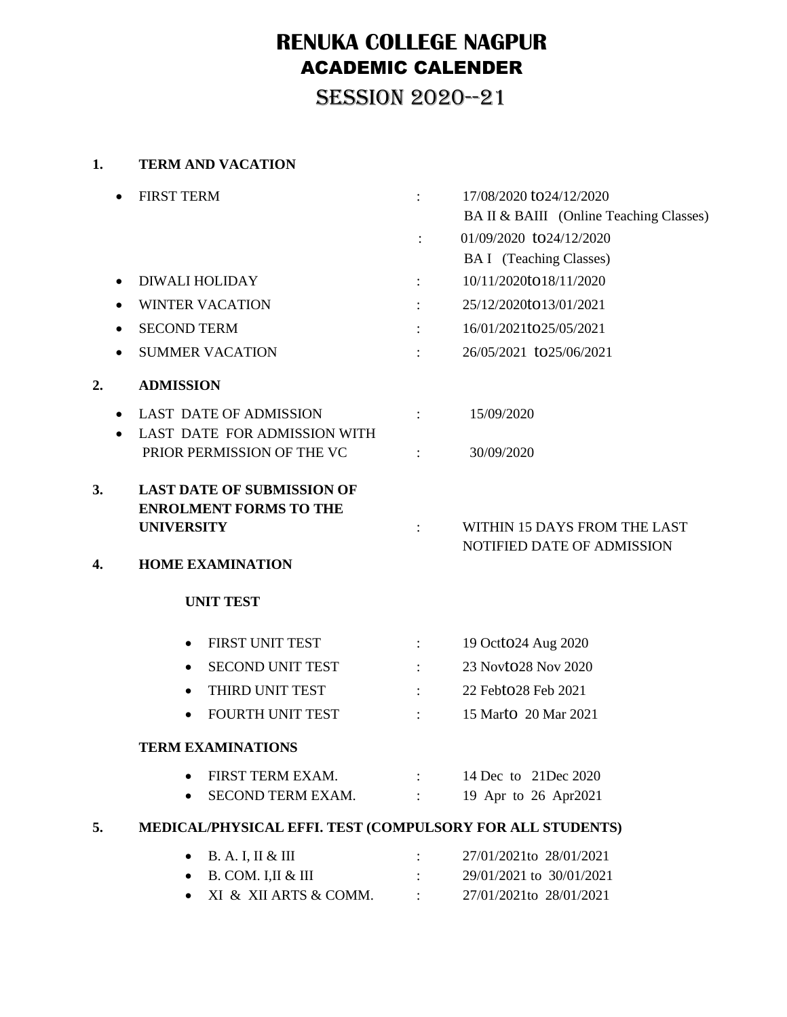# **RENUKA COLLEGE NAGPUR** ACADEMIC CALENDER

SESSION 2020--21

#### **1. TERM AND VACATION**

|                               | <b>FIRST TERM</b>                                                                                                  | $\ddot{\cdot}$                             | 17/08/2020 to 24/12/2020                                   |  |  |  |
|-------------------------------|--------------------------------------------------------------------------------------------------------------------|--------------------------------------------|------------------------------------------------------------|--|--|--|
|                               |                                                                                                                    |                                            | BA II & BAIII (Online Teaching Classes)                    |  |  |  |
|                               |                                                                                                                    |                                            | 01/09/2020 to24/12/2020                                    |  |  |  |
|                               |                                                                                                                    |                                            | <b>BAI</b> (Teaching Classes)                              |  |  |  |
| $\bullet$                     | <b>DIWALI HOLIDAY</b>                                                                                              | $\ddot{\phantom{a}}$ .                     | 10/11/2020to18/11/2020                                     |  |  |  |
|                               | <b>WINTER VACATION</b>                                                                                             | $\ddot{\cdot}$                             | 25/12/2020to13/01/2021                                     |  |  |  |
| ٠                             | <b>SECOND TERM</b>                                                                                                 |                                            | 16/01/2021to25/05/2021                                     |  |  |  |
|                               | <b>SUMMER VACATION</b>                                                                                             |                                            | 26/05/2021 to 25/06/2021                                   |  |  |  |
| 2.                            | <b>ADMISSION</b>                                                                                                   |                                            |                                                            |  |  |  |
| <b>LAST DATE OF ADMISSION</b> |                                                                                                                    | $\mathcal{L}^{\text{max}}$                 | 15/09/2020                                                 |  |  |  |
|                               | LAST DATE FOR ADMISSION WITH<br>PRIOR PERMISSION OF THE VC                                                         | $\sim 10^{11}$ M $_\odot$ , $\sim 10^{11}$ | 30/09/2020                                                 |  |  |  |
| 3.<br>4.                      | <b>LAST DATE OF SUBMISSION OF</b><br><b>ENROLMENT FORMS TO THE</b><br><b>UNIVERSITY</b><br><b>HOME EXAMINATION</b> |                                            | WITHIN 15 DAYS FROM THE LAST<br>NOTIFIED DATE OF ADMISSION |  |  |  |
|                               | <b>UNIT TEST</b>                                                                                                   |                                            |                                                            |  |  |  |
|                               | FIRST UNIT TEST<br>$\bullet$                                                                                       | $\Delta \sim 10^{-11}$                     | 19 Octo24 Aug 2020                                         |  |  |  |
|                               | <b>SECOND UNIT TEST</b><br>$\bullet$                                                                               | $\ddot{\cdot}$                             | 23 Novto 28 Nov 2020                                       |  |  |  |
|                               | THIRD UNIT TEST<br>$\bullet$                                                                                       | $\mathbb{R}^{\mathbb{Z}}$                  | 22 Febto28 Feb 2021                                        |  |  |  |
|                               | FOURTH UNIT TEST<br>$\bullet$                                                                                      | $\ddot{\cdot}$                             | 15 Marto 20 Mar 2021                                       |  |  |  |
|                               | <b>TERM EXAMINATIONS</b>                                                                                           |                                            |                                                            |  |  |  |
|                               | FIRST TERM EXAM.                                                                                                   | $\Delta \sim 10^{-11}$                     | 14 Dec to 21 Dec 2020                                      |  |  |  |
|                               | SECOND TERM EXAM.                                                                                                  | $\sim 1000$ km s $^{-1}$                   | 19 Apr to 26 Apr2021                                       |  |  |  |
| 5.                            | MEDICAL/PHYSICAL EFFI. TEST (COMPULSORY FOR ALL STUDENTS)                                                          |                                            |                                                            |  |  |  |
|                               | <b>B. A. I, II &amp; III</b>                                                                                       |                                            | 27/01/2021to 28/01/2021                                    |  |  |  |
|                               | B. COM. I, II & III<br>٠                                                                                           |                                            | 29/01/2021 to 30/01/2021                                   |  |  |  |
|                               | XI & XII ARTS & COMM.                                                                                              |                                            | 27/01/2021to 28/01/2021                                    |  |  |  |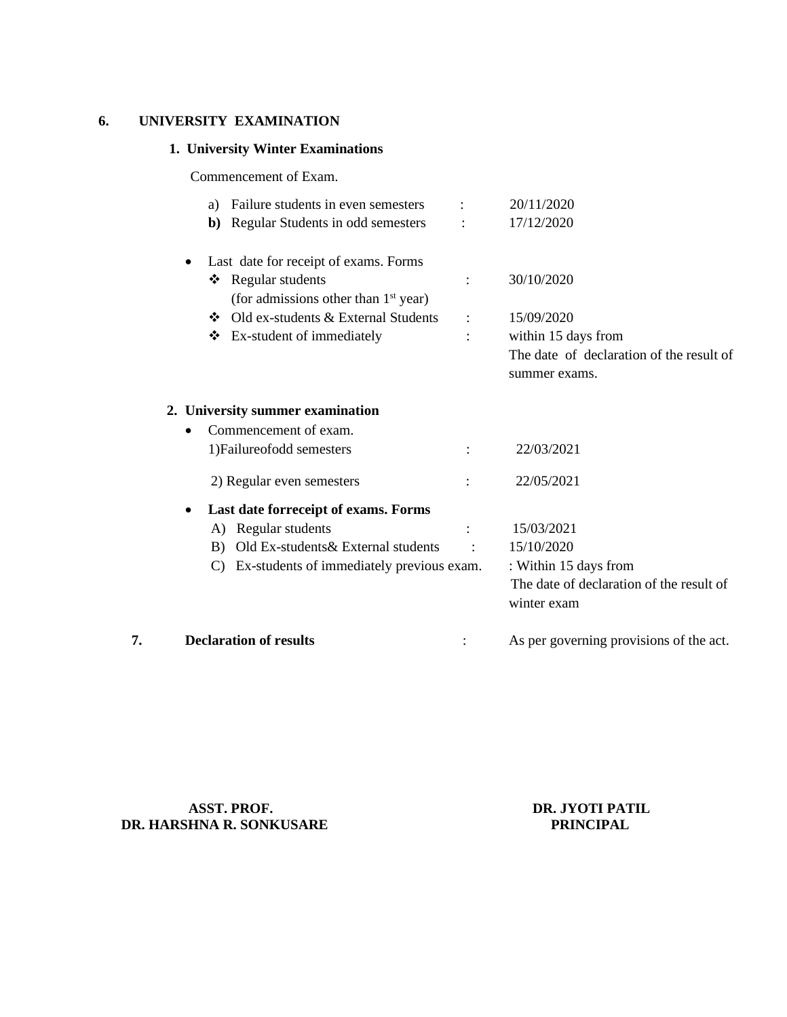#### **6. UNIVERSITY EXAMINATION**

#### **1. University Winter Examinations**

Commencement of Exam.

| <b>Declaration of results</b>                     |                                                                                                                                                  | As per governing provisions of the act.                         |
|---------------------------------------------------|--------------------------------------------------------------------------------------------------------------------------------------------------|-----------------------------------------------------------------|
|                                                   |                                                                                                                                                  | The date of declaration of the result of<br>winter exam         |
| $\mathcal{C}$                                     |                                                                                                                                                  | : Within 15 days from                                           |
| Old Ex-students& External students<br>B)          |                                                                                                                                                  | 15/10/2020                                                      |
| A) Regular students                               | $\ddot{\cdot}$                                                                                                                                   | 15/03/2021                                                      |
| Last date forreceipt of exams. Forms<br>$\bullet$ |                                                                                                                                                  |                                                                 |
| 2) Regular even semesters                         |                                                                                                                                                  | 22/05/2021                                                      |
| 1) Failure of odd semesters                       |                                                                                                                                                  | 22/03/2021                                                      |
| Commencement of exam.<br>$\bullet$                |                                                                                                                                                  |                                                                 |
|                                                   |                                                                                                                                                  |                                                                 |
|                                                   |                                                                                                                                                  | summer exams.                                                   |
|                                                   |                                                                                                                                                  | within 15 days from<br>The date of declaration of the result of |
|                                                   |                                                                                                                                                  |                                                                 |
| (for admissions other than 1 <sup>st</sup> year)  |                                                                                                                                                  | 15/09/2020                                                      |
| Regular students<br>❖                             |                                                                                                                                                  | 30/10/2020                                                      |
| Last date for receipt of exams. Forms             |                                                                                                                                                  |                                                                 |
| b)                                                |                                                                                                                                                  | 17/12/2020                                                      |
| Failure students in even semesters<br>a)          |                                                                                                                                                  | 20/11/2020                                                      |
|                                                   | Regular Students in odd semesters<br>❖ Old ex-students & External Students<br>Ex-student of immediately<br>❖<br>2. University summer examination | $\ddot{\cdot}$<br>Ex-students of immediately previous exam.     |

**ASST. PROF.**<br> **DR. JYOTI PATIL**<br> **DR. JYOTI PATIL**<br> **DR. JYOTI PATIL DR. HARSHNA R. SONKUSARE**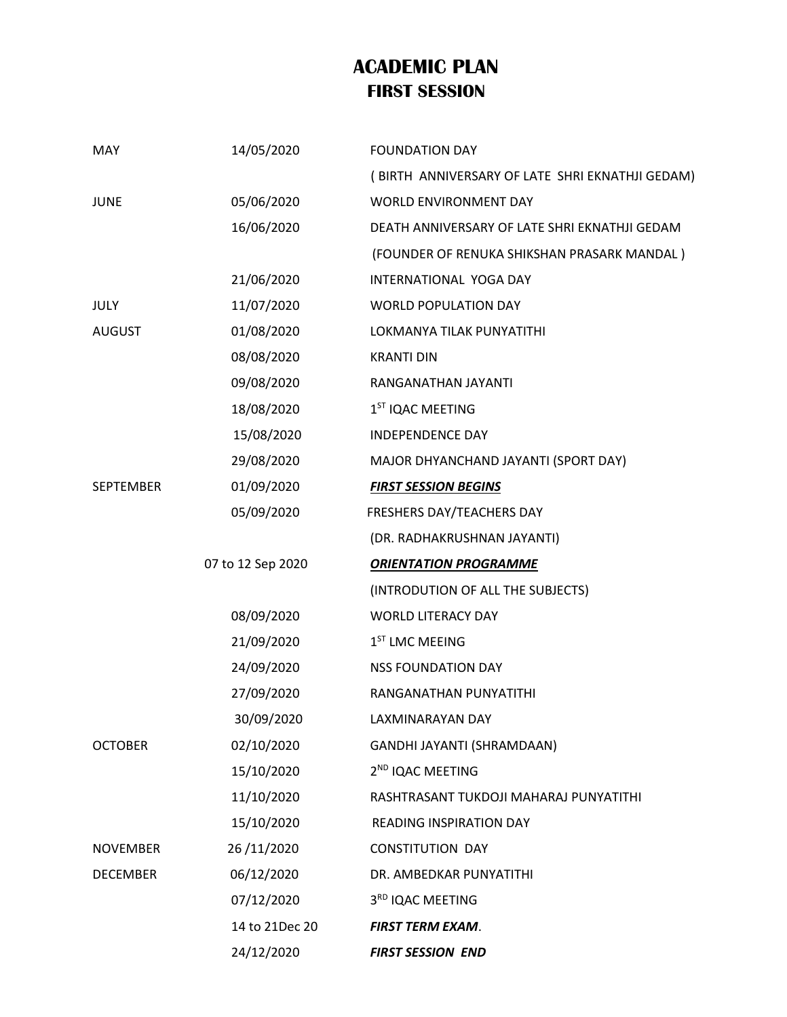## **ACADEMIC PLAN FIRST SESSION**

|                  | 24/12/2020        | <b>FIRST SESSION END</b>                        |
|------------------|-------------------|-------------------------------------------------|
|                  | 14 to 21Dec 20    | <b>FIRST TERM EXAM.</b>                         |
|                  | 07/12/2020        | 3RD IQAC MEETING                                |
| <b>DECEMBER</b>  | 06/12/2020        | DR. AMBEDKAR PUNYATITHI                         |
| <b>NOVEMBER</b>  | 26/11/2020        | <b>CONSTITUTION DAY</b>                         |
|                  | 15/10/2020        | READING INSPIRATION DAY                         |
|                  | 11/10/2020        | RASHTRASANT TUKDOJI MAHARAJ PUNYATITHI          |
|                  | 15/10/2020        | 2 <sup>ND</sup> IQAC MEETING                    |
| <b>OCTOBER</b>   | 02/10/2020        | GANDHI JAYANTI (SHRAMDAAN)                      |
|                  | 30/09/2020        | LAXMINARAYAN DAY                                |
|                  | 27/09/2020        | RANGANATHAN PUNYATITHI                          |
|                  | 24/09/2020        | <b>NSS FOUNDATION DAY</b>                       |
|                  | 21/09/2020        | $1ST$ LMC MEEING                                |
|                  | 08/09/2020        | <b>WORLD LITERACY DAY</b>                       |
|                  |                   | (INTRODUTION OF ALL THE SUBJECTS)               |
|                  | 07 to 12 Sep 2020 | <b>ORIENTATION PROGRAMME</b>                    |
|                  |                   | (DR. RADHAKRUSHNAN JAYANTI)                     |
|                  | 05/09/2020        | FRESHERS DAY/TEACHERS DAY                       |
| <b>SEPTEMBER</b> | 01/09/2020        | <b>FIRST SESSION BEGINS</b>                     |
|                  | 29/08/2020        | MAJOR DHYANCHAND JAYANTI (SPORT DAY)            |
|                  | 15/08/2020        | <b>INDEPENDENCE DAY</b>                         |
|                  | 18/08/2020        | 1 <sup>ST</sup> IQAC MEETING                    |
|                  | 09/08/2020        | RANGANATHAN JAYANTI                             |
|                  | 08/08/2020        | <b>KRANTI DIN</b>                               |
| <b>AUGUST</b>    | 01/08/2020        | LOKMANYA TILAK PUNYATITHI                       |
| JULY             | 11/07/2020        | <b>WORLD POPULATION DAY</b>                     |
|                  | 21/06/2020        | INTERNATIONAL YOGA DAY                          |
|                  |                   | (FOUNDER OF RENUKA SHIKSHAN PRASARK MANDAL)     |
|                  | 16/06/2020        | DEATH ANNIVERSARY OF LATE SHRI EKNATHJI GEDAM   |
| <b>JUNE</b>      | 05/06/2020        | WORLD ENVIRONMENT DAY                           |
|                  |                   | (BIRTH ANNIVERSARY OF LATE SHRI EKNATHJI GEDAM) |
| MAY              | 14/05/2020        | <b>FOUNDATION DAY</b>                           |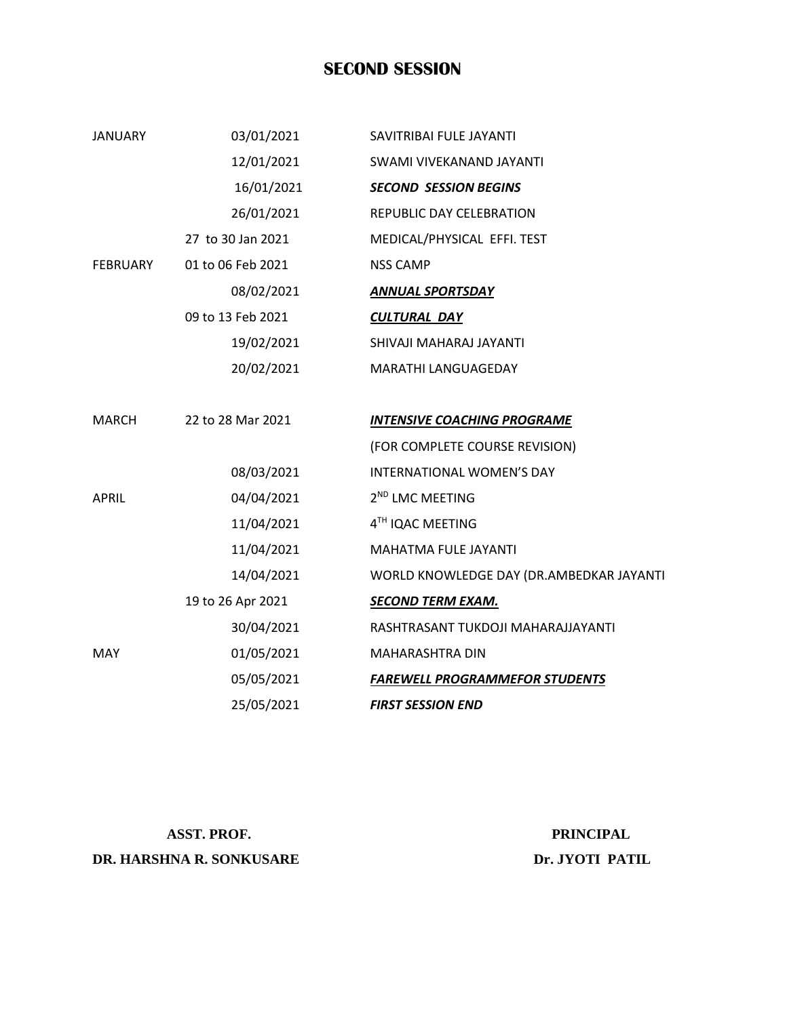### **SECOND SESSION**

| <b>JANUARY</b>  | 03/01/2021        | SAVITRIBAI FULE JAYANTI                  |
|-----------------|-------------------|------------------------------------------|
|                 | 12/01/2021        | SWAMI VIVEKANAND JAYANTI                 |
|                 | 16/01/2021        | <b>SECOND SESSION BEGINS</b>             |
|                 | 26/01/2021        | REPUBLIC DAY CELEBRATION                 |
|                 | 27 to 30 Jan 2021 | MEDICAL/PHYSICAL EFFI. TEST              |
| <b>FEBRUARY</b> | 01 to 06 Feb 2021 | <b>NSS CAMP</b>                          |
|                 | 08/02/2021        | <b>ANNUAL SPORTSDAY</b>                  |
|                 | 09 to 13 Feb 2021 | <b>CULTURAL DAY</b>                      |
|                 | 19/02/2021        | SHIVAJI MAHARAJ JAYANTI                  |
|                 | 20/02/2021        | MARATHI LANGUAGEDAY                      |
| MARCH           | 22 to 28 Mar 2021 | <b>INTENSIVE COACHING PROGRAME</b>       |
|                 |                   | (FOR COMPLETE COURSE REVISION)           |
|                 | 08/03/2021        | INTERNATIONAL WOMEN'S DAY                |
| <b>APRIL</b>    | 04/04/2021        | 2 <sup>ND</sup> LMC MEETING              |
|                 | 11/04/2021        | 4TH IQAC MEETING                         |
|                 | 11/04/2021        | <b>MAHATMA FULE JAYANTI</b>              |
|                 | 14/04/2021        | WORLD KNOWLEDGE DAY (DR.AMBEDKAR JAYANTI |
|                 | 19 to 26 Apr 2021 | <b>SECOND TERM EXAM.</b>                 |
|                 | 30/04/2021        | RASHTRASANT TUKDOJI MAHARAJJAYANTI       |
| <b>MAY</b>      | 01/05/2021        | <b>MAHARASHTRA DIN</b>                   |
|                 | 05/05/2021        | <b>FAREWELL PROGRAMMEFOR STUDENTS</b>    |
|                 | 25/05/2021        | <b>FIRST SESSION END</b>                 |

**DR. HARSHNA R. SONKUSARE Dr. JYOTI PATIL** 

ASST. PROF. PRINCIPAL